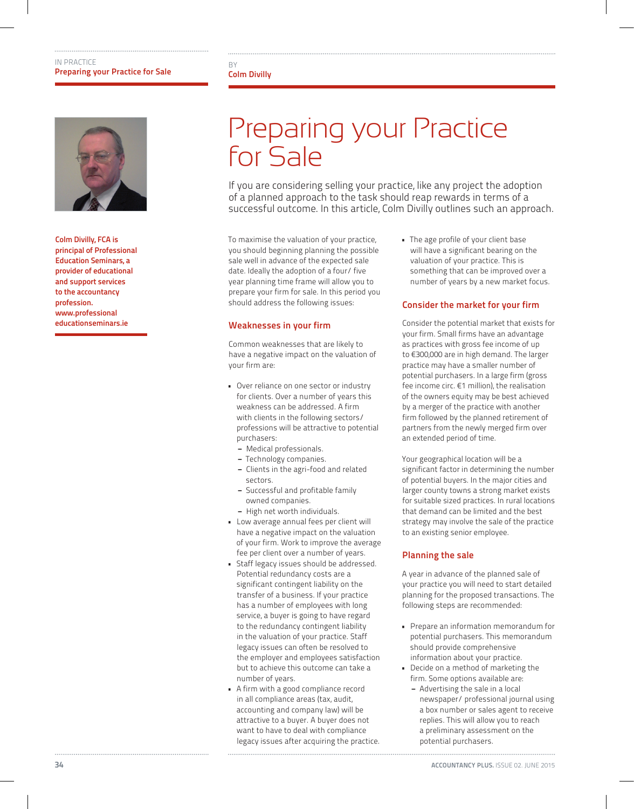

Colm Divilly, FCA is principal of Professional Education Seminars, a provider of educational and support services to the accountancy profession. www.professional educationseminars.ie

#### **BY** Colm Divilly

## Preparing your Practice for Sale

If you are considering selling your practice, like any project the adoption of a planned approach to the task should reap rewards in terms of a successful outcome. In this article, Colm Divilly outlines such an approach.

To maximise the valuation of your practice, you should beginning planning the possible sale well in advance of the expected sale date. Ideally the adoption of a four/ five year planning time frame will allow you to prepare your firm for sale. In this period you should address the following issues:

#### Weaknesses in your firm

Common weaknesses that are likely to have a negative impact on the valuation of your firm are:

- Over reliance on one sector or industry for clients. Over a number of years this weakness can be addressed. A firm with clients in the following sectors/ professions will be attractive to potential purchasers:
	- − Medical professionals.
	- − Technology companies.
	- − Clients in the agri-food and related sectors.
	- − Successful and profitable family owned companies.
	- − High net worth individuals.
- Low average annual fees per client will have a negative impact on the valuation of your firm. Work to improve the average fee per client over a number of years.
- Staff legacy issues should be addressed. Potential redundancy costs are a significant contingent liability on the transfer of a business. If your practice has a number of employees with long service, a buyer is going to have regard to the redundancy contingent liability in the valuation of your practice. Staff legacy issues can often be resolved to the employer and employees satisfaction but to achieve this outcome can take a number of years.
- A firm with a good compliance record in all compliance areas (tax, audit, accounting and company law) will be attractive to a buyer. A buyer does not want to have to deal with compliance legacy issues after acquiring the practice.

• The age profile of your client base will have a significant bearing on the valuation of your practice. This is something that can be improved over a number of years by a new market focus.

#### Consider the market for your firm

Consider the potential market that exists for your firm. Small firms have an advantage as practices with gross fee income of up to €300,000 are in high demand. The larger practice may have a smaller number of potential purchasers. In a large firm (gross fee income circ. €1 million), the realisation of the owners equity may be best achieved by a merger of the practice with another firm followed by the planned retirement of partners from the newly merged firm over an extended period of time.

Your geographical location will be a significant factor in determining the number of potential buyers. In the major cities and larger county towns a strong market exists for suitable sized practices. In rural locations that demand can be limited and the best strategy may involve the sale of the practice to an existing senior employee.

#### Planning the sale

A year in advance of the planned sale of your practice you will need to start detailed planning for the proposed transactions. The following steps are recommended:

- Prepare an information memorandum for potential purchasers. This memorandum should provide comprehensive information about your practice.
- Decide on a method of marketing the firm. Some options available are:
	- − Advertising the sale in a local newspaper/ professional journal using a box number or sales agent to receive replies. This will allow you to reach a preliminary assessment on the potential purchasers.